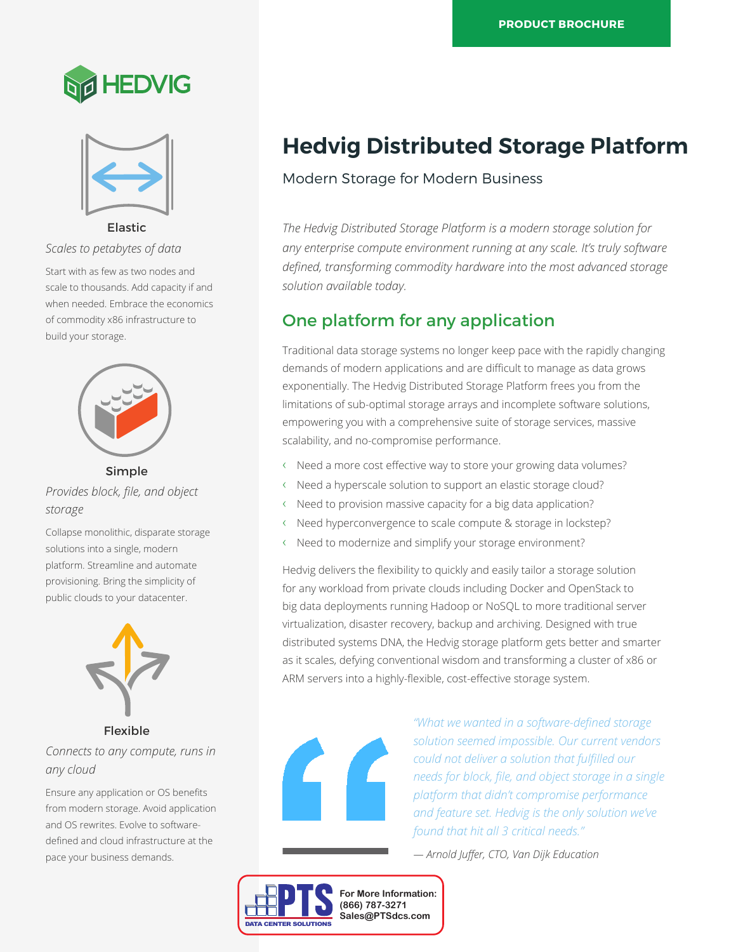



Elastic

*Scales to petabytes of data*

Start with as few as two nodes and scale to thousands. Add capacity if and when needed. Embrace the economics of commodity x86 infrastructure to build your storage.



## Simple

*Provides block, file, and object storage*

Collapse monolithic, disparate storage solutions into a single, modern platform. Streamline and automate provisioning. Bring the simplicity of public clouds to your datacenter.



Flexible

*Connects to any compute, runs in any cloud*

Ensure any application or OS benefits from modern storage. Avoid application and OS rewrites. Evolve to softwaredefined and cloud infrastructure at the pace your business demands.

# **Hedvig Distributed Storage Platform**

### Modern Storage for Modern Business

*The Hedvig Distributed Storage Platform is a modern storage solution for any enterprise compute environment running at any scale. It's truly software defined, transforming commodity hardware into the most advanced storage solution available today.*

## One platform for any application

Traditional data storage systems no longer keep pace with the rapidly changing demands of modern applications and are difficult to manage as data grows exponentially. The Hedvig Distributed Storage Platform frees you from the limitations of sub-optimal storage arrays and incomplete software solutions, empowering you with a comprehensive suite of storage services, massive scalability, and no-compromise performance.

- ‹ Need a more cost effective way to store your growing data volumes?
- ‹ Need a hyperscale solution to support an elastic storage cloud?
- ‹ Need to provision massive capacity for a big data application?
- Need hyperconvergence to scale compute & storage in lockstep?
- Need to modernize and simplify your storage environment?

Hedvig delivers the flexibility to quickly and easily tailor a storage solution for any workload from private clouds including Docker and OpenStack to big data deployments running Hadoop or NoSQL to more traditional server virtualization, disaster recovery, backup and archiving. Designed with true distributed systems DNA, the Hedvig storage platform gets better and smarter as it scales, defying conventional wisdom and transforming a cluster of x86 or ARM servers into a highly-flexible, cost-effective storage system.



*"What we wanted in a software-defined storage solution seemed impossible. Our current vendors could not deliver a solution that fulfilled our needs for block, file, and object storage in a single platform that didn't compromise performance and feature set. Hedvig is the only solution we've found that hit all 3 critical needs."*

*— Arnold Juffer, CTO, Van Dijk Education*

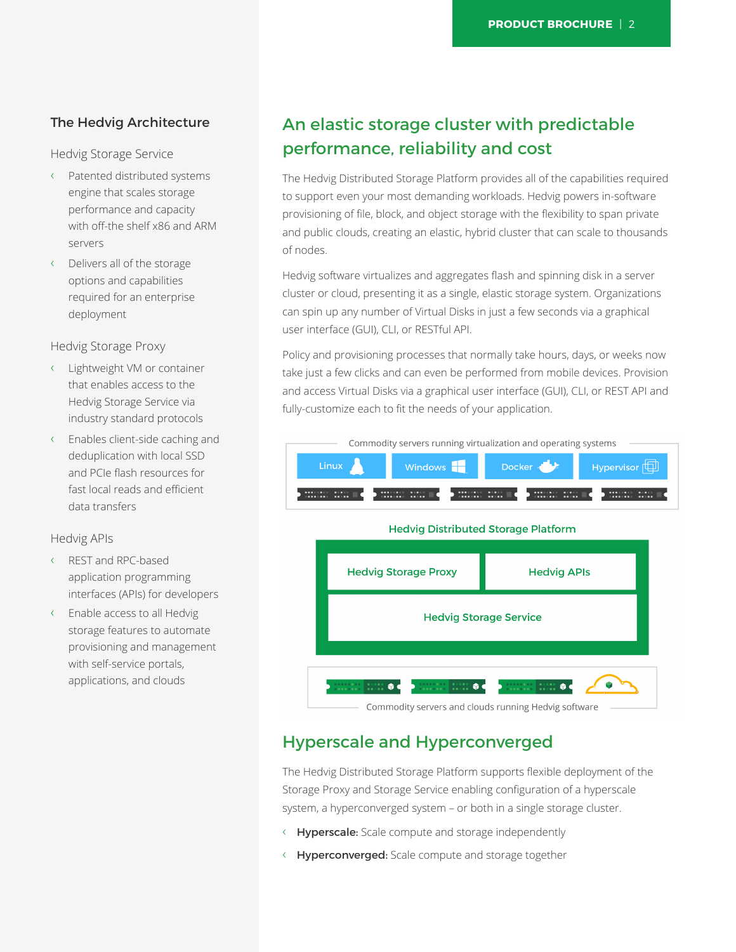### The Hedvig Architecture

Hedvig Storage Service

- ‹ Patented distributed systems engine that scales storage performance and capacity with off-the shelf x86 and ARM servers
- ‹ Delivers all of the storage options and capabilities required for an enterprise deployment

Hedvig Storage Proxy

- ‹ Lightweight VM or container that enables access to the Hedvig Storage Service via industry standard protocols
- ‹ Enables client-side caching and deduplication with local SSD and PCIe flash resources for fast local reads and efficient data transfers

#### Hedvig APIs

- ‹ REST and RPC-based application programming interfaces (APIs) for developers
- ‹ Enable access to all Hedvig storage features to automate provisioning and management with self-service portals, applications, and clouds

## An elastic storage cluster with predictable performance, reliability and cost

The Hedvig Distributed Storage Platform provides all of the capabilities required to support even your most demanding workloads. Hedvig powers in-software provisioning of file, block, and object storage with the flexibility to span private and public clouds, creating an elastic, hybrid cluster that can scale to thousands of nodes.

Hedvig software virtualizes and aggregates flash and spinning disk in a server cluster or cloud, presenting it as a single, elastic storage system. Organizations can spin up any number of Virtual Disks in just a few seconds via a graphical user interface (GUI), CLI, or RESTful API.

Policy and provisioning processes that normally take hours, days, or weeks now take just a few clicks and can even be performed from mobile devices. Provision and access Virtual Disks via a graphical user interface (GUI), CLI, or REST API and fully-customize each to fit the needs of your application.



## Hyperscale and Hyperconverged

The Hedvig Distributed Storage Platform supports flexible deployment of the Storage Proxy and Storage Service enabling configuration of a hyperscale system, a hyperconverged system – or both in a single storage cluster.

- ‹ Hyperscale: Scale compute and storage independently
- ‹ Hyperconverged: Scale compute and storage together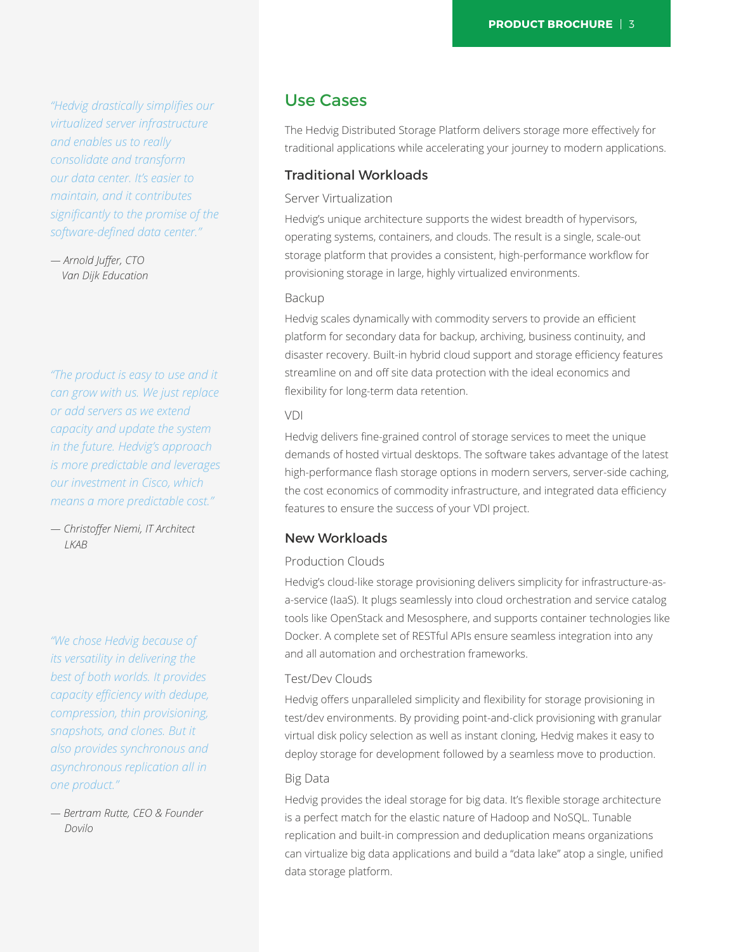*"Hedvig drastically simplifies our virtualized server infrastructure and enables us to really consolidate and transform our data center. It's easier to maintain, and it contributes significantly to the promise of the software-defined data center."*

*— Arnold Juffer, CTO Van Dijk Education*

*"The product is easy to use and it can grow with us. We just replace or add servers as we extend capacity and update the system in the future. Hedvig's approach is more predictable and leverages our investment in Cisco, which means a more predictable cost."*

*— Christoffer Niemi, IT Architect LKAB*

*"We chose Hedvig because of its versatility in delivering the best of both worlds. It provides capacity efficiency with dedupe, compression, thin provisioning, snapshots, and clones. But it also provides synchronous and asynchronous replication all in one product."*

*— Bertram Rutte, CEO & Founder Dovilo*

### Use Cases

The Hedvig Distributed Storage Platform delivers storage more effectively for traditional applications while accelerating your journey to modern applications.

#### Traditional Workloads

#### Server Virtualization

Hedvig's unique architecture supports the widest breadth of hypervisors, operating systems, containers, and clouds. The result is a single, scale-out storage platform that provides a consistent, high-performance workflow for provisioning storage in large, highly virtualized environments.

#### Backup

Hedvig scales dynamically with commodity servers to provide an efficient platform for secondary data for backup, archiving, business continuity, and disaster recovery. Built-in hybrid cloud support and storage efficiency features streamline on and off site data protection with the ideal economics and flexibility for long-term data retention.

#### VDI

Hedvig delivers fine-grained control of storage services to meet the unique demands of hosted virtual desktops. The software takes advantage of the latest high-performance flash storage options in modern servers, server-side caching, the cost economics of commodity infrastructure, and integrated data efficiency features to ensure the success of your VDI project.

#### New Workloads

#### Production Clouds

Hedvig's cloud-like storage provisioning delivers simplicity for infrastructure-asa-service (IaaS). It plugs seamlessly into cloud orchestration and service catalog tools like OpenStack and Mesosphere, and supports container technologies like Docker. A complete set of RESTful APIs ensure seamless integration into any and all automation and orchestration frameworks.

#### Test/Dev Clouds

Hedvig offers unparalleled simplicity and flexibility for storage provisioning in test/dev environments. By providing point-and-click provisioning with granular virtual disk policy selection as well as instant cloning, Hedvig makes it easy to deploy storage for development followed by a seamless move to production.

#### Big Data

Hedvig provides the ideal storage for big data. It's flexible storage architecture is a perfect match for the elastic nature of Hadoop and NoSQL. Tunable replication and built-in compression and deduplication means organizations can virtualize big data applications and build a "data lake" atop a single, unified data storage platform.